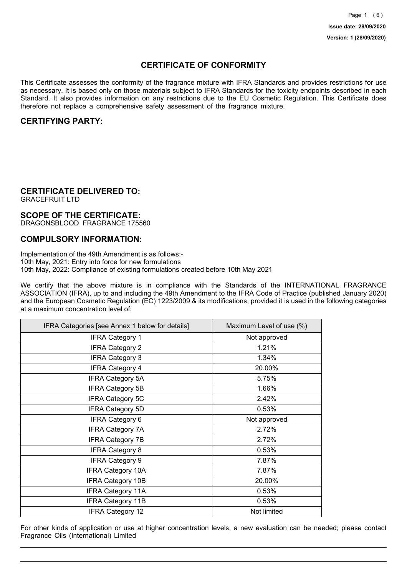## **CERTIFICATE OF CONFORMITY**

This Certificate assesses the conformity of the fragrance mixture with IFRA Standards and provides restrictions for use as necessary. It is based only on those materials subject to IFRA Standards for the toxicity endpoints described in each Standard. It also provides information on any restrictions due to the EU Cosmetic Regulation. This Certificate does therefore not replace a comprehensive safety assessment of the fragrance mixture.

## **CERTIFYING PARTY:**

## **CERTIFICATE DELIVERED TO:**

GRACEFRUIT LTD

### **SCOPE OF THE CERTIFICATE:**

DRAGONSBLOOD FRAGRANCE 175560

### **COMPULSORY INFORMATION:**

Implementation of the 49th Amendment is as follows:- 10th May, 2021: Entry into force for new formulations 10th May, 2022: Compliance of existing formulations created before 10th May 2021

We certify that the above mixture is in compliance with the Standards of the INTERNATIONAL FRAGRANCE ASSOCIATION (IFRA), up to and including the 49th Amendment to the IFRA Code of Practice (published January 2020) and the European Cosmetic Regulation (EC) 1223/2009 & its modifications, provided it is used in the following categories at a maximum concentration level of:

| IFRA Categories [see Annex 1 below for details] | Maximum Level of use (%) |
|-------------------------------------------------|--------------------------|
| <b>IFRA Category 1</b>                          | Not approved             |
| <b>IFRA Category 2</b>                          | 1.21%                    |
| <b>IFRA Category 3</b>                          | 1.34%                    |
| <b>IFRA Category 4</b>                          | 20.00%                   |
| <b>IFRA Category 5A</b>                         | 5.75%                    |
| <b>IFRA Category 5B</b>                         | 1.66%                    |
| <b>IFRA Category 5C</b>                         | 2.42%                    |
| <b>IFRA Category 5D</b>                         | 0.53%                    |
| IFRA Category 6                                 | Not approved             |
| <b>IFRA Category 7A</b>                         | 2.72%                    |
| <b>IFRA Category 7B</b>                         | 2.72%                    |
| <b>IFRA Category 8</b>                          | 0.53%                    |
| <b>IFRA Category 9</b>                          | 7.87%                    |
| <b>IFRA Category 10A</b>                        | 7.87%                    |
| <b>IFRA Category 10B</b>                        | 20.00%                   |
| <b>IFRA Category 11A</b>                        | 0.53%                    |
| <b>IFRA Category 11B</b>                        | 0.53%                    |
| <b>IFRA Category 12</b>                         | Not limited              |

For other kinds of application or use at higher concentration levels, a new evaluation can be needed; please contact Fragrance Oils (International) Limited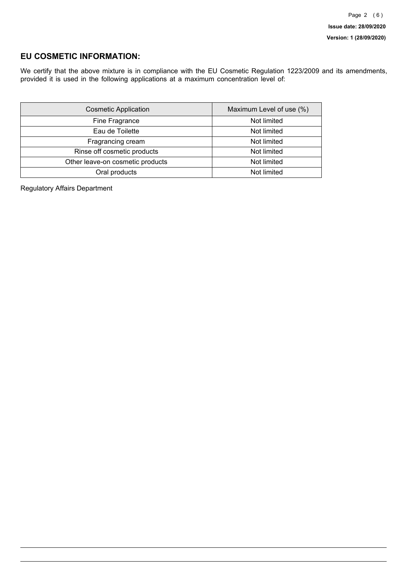## **EU COSMETIC INFORMATION:**

We certify that the above mixture is in compliance with the EU Cosmetic Regulation 1223/2009 and its amendments, provided it is used in the following applications at a maximum concentration level of:

| <b>Cosmetic Application</b>      | Maximum Level of use (%) |
|----------------------------------|--------------------------|
| Fine Fragrance                   | Not limited              |
| Eau de Toilette                  | Not limited              |
| Fragrancing cream                | Not limited              |
| Rinse off cosmetic products      | Not limited              |
| Other leave-on cosmetic products | Not limited              |
| Oral products                    | Not limited              |

Regulatory Affairs Department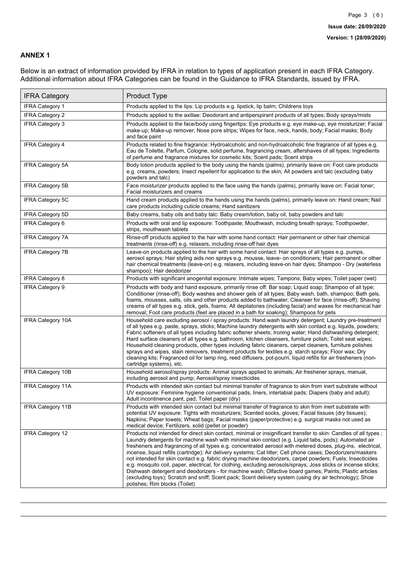### **ANNEX 1**

Below is an extract of information provided by IFRA in relation to types of application present in each IFRA Category. Additional information about IFRA Categories can be found in the Guidance to IFRA Standards, issued by IFRA.

| <b>IFRA Category</b>     | Product Type                                                                                                                                                                                                                                                                                                                                                                                                                                                                                                                                                                                                                                                                                                                                                                                                                                                                                                                                 |
|--------------------------|----------------------------------------------------------------------------------------------------------------------------------------------------------------------------------------------------------------------------------------------------------------------------------------------------------------------------------------------------------------------------------------------------------------------------------------------------------------------------------------------------------------------------------------------------------------------------------------------------------------------------------------------------------------------------------------------------------------------------------------------------------------------------------------------------------------------------------------------------------------------------------------------------------------------------------------------|
| <b>IFRA Category 1</b>   | Products applied to the lips: Lip products e.g. lipstick, lip balm; Childrens toys                                                                                                                                                                                                                                                                                                                                                                                                                                                                                                                                                                                                                                                                                                                                                                                                                                                           |
| <b>IFRA Category 2</b>   | Products applied to the axillae: Deodorant and antiperspirant products of all types; Body sprays/mists                                                                                                                                                                                                                                                                                                                                                                                                                                                                                                                                                                                                                                                                                                                                                                                                                                       |
| <b>IFRA Category 3</b>   | Products applied to the face/body using fingertips: Eye products e.g. eye make-up, eye moisturizer; Facial<br>make-up; Make-up remover; Nose pore strips; Wipes for face, neck, hands, body; Facial masks; Body<br>and face paint                                                                                                                                                                                                                                                                                                                                                                                                                                                                                                                                                                                                                                                                                                            |
| <b>IFRA Category 4</b>   | Products related to fine fragrance: Hydroalcoholic and non-hydroalcoholic fine fragrance of all types e.g.<br>Eau de Toilette, Parfum, Cologne, solid perfume, fragrancing cream, aftershaves of all types; Ingredients<br>of perfume and fragrance mixtures for cosmetic kits; Scent pads; Scent strips                                                                                                                                                                                                                                                                                                                                                                                                                                                                                                                                                                                                                                     |
| <b>IFRA Category 5A</b>  | Body lotion products applied to the body using the hands (palms), primarily leave on: Foot care products<br>e.g. creams, powders; Insect repellent for application to the skin; All powders and talc (excluding baby<br>powders and talc)                                                                                                                                                                                                                                                                                                                                                                                                                                                                                                                                                                                                                                                                                                    |
| IFRA Category 5B         | Face moisturizer products applied to the face using the hands (palms), primarily leave on: Facial toner;<br>Facial moisturizers and creams                                                                                                                                                                                                                                                                                                                                                                                                                                                                                                                                                                                                                                                                                                                                                                                                   |
| IFRA Category 5C         | Hand cream products applied to the hands using the hands (palms), primarily leave on: Hand cream; Nail<br>care products including cuticle creams; Hand sanitizers                                                                                                                                                                                                                                                                                                                                                                                                                                                                                                                                                                                                                                                                                                                                                                            |
| <b>IFRA Category 5D</b>  | Baby creams, baby oils and baby talc: Baby cream/lotion, baby oil, baby powders and talc                                                                                                                                                                                                                                                                                                                                                                                                                                                                                                                                                                                                                                                                                                                                                                                                                                                     |
| IFRA Category 6          | Products with oral and lip exposure: Toothpaste; Mouthwash, including breath sprays; Toothpowder,<br>strips, mouthwash tablets                                                                                                                                                                                                                                                                                                                                                                                                                                                                                                                                                                                                                                                                                                                                                                                                               |
| <b>IFRA Category 7A</b>  | Rinse-off products applied to the hair with some hand contact: Hair permanent or other hair chemical<br>treatments (rinse-off) e.g. relaxers, including rinse-off hair dyes                                                                                                                                                                                                                                                                                                                                                                                                                                                                                                                                                                                                                                                                                                                                                                  |
| <b>IFRA Category 7B</b>  | Leave-on products applied to the hair with some hand contact: Hair sprays of all types e.g. pumps,<br>aerosol sprays; Hair styling aids non sprays e.g. mousse, leave- on conditioners; Hair permanent or other<br>hair chemical treatments (leave-on) e.g. relaxers, including leave-on hair dyes; Shampoo - Dry (waterless<br>shampoo); Hair deodorizer                                                                                                                                                                                                                                                                                                                                                                                                                                                                                                                                                                                    |
| <b>IFRA Category 8</b>   | Products with significant anogenital exposure: Intimate wipes; Tampons; Baby wipes; Toilet paper (wet)                                                                                                                                                                                                                                                                                                                                                                                                                                                                                                                                                                                                                                                                                                                                                                                                                                       |
| IFRA Category 9          | Products with body and hand exposure, primarily rinse off: Bar soap; Liquid soap; Shampoo of all type;<br>Conditioner (rinse-off); Body washes and shower gels of all types; Baby wash, bath, shampoo; Bath gels,<br>foams, mousses, salts, oils and other products added to bathwater; Cleanser for face (rinse-off); Shaving<br>creams of all types e.g. stick, gels, foams; All depilatories (including facial) and waxes for mechanical hair<br>removal; Foot care products (feet are placed in a bath for soaking); Shampoos for pets                                                                                                                                                                                                                                                                                                                                                                                                   |
| <b>IFRA Category 10A</b> | Household care excluding aerosol / spray products: Hand wash laundry detergent; Laundry pre-treatment<br>of all types e.g. paste, sprays, sticks; Machine laundry detergents with skin contact e.g. liquids, powders;<br>Fabric softeners of all types including fabric softener sheets; Ironing water; Hand dishwashing detergent;<br>Hard surface cleaners of all types e.g. bathroom, kitchen cleansers, furniture polish; Toilet seat wipes;<br>Household cleaning products, other types including fabric cleaners, carpet cleaners, furniture polishes<br>sprays and wipes, stain removers, treatment products for textiles e.g. starch sprays; Floor wax; Dry<br>cleaning kits; Fragranced oil for lamp ring, reed diffusers, pot-pourri, liquid refills for air fresheners (non-<br>cartridge systems), etc.                                                                                                                          |
| <b>IFRA Category 10B</b> | Household aerosol/spray products: Animal sprays applied to animals; Air freshener sprays, manual,<br>including aerosol and pump; Aerosol/spray insecticides                                                                                                                                                                                                                                                                                                                                                                                                                                                                                                                                                                                                                                                                                                                                                                                  |
| <b>IFRA Category 11A</b> | Products with intended skin contact but minimal transfer of fragrance to skin from inert substrate without<br>UV exposure: Feminine hygiene conventional pads, liners, interlabial pads; Diapers (baby and adult);<br>Adult incontinence pant, pad; Toilet paper (dry)                                                                                                                                                                                                                                                                                                                                                                                                                                                                                                                                                                                                                                                                       |
| <b>IFRA Category 11B</b> | Products with intended skin contact but minimal transfer of fragrance to skin from inert substrate with<br>potential UV exposure: Tights with moisturizers; Scented socks, gloves; Facial tissues (dry tissues);<br>Napkins; Paper towels; Wheat bags; Facial masks (paper/protective) e.g. surgical masks not used as<br>medical device; Fertilizers, solid (pellet or powder)                                                                                                                                                                                                                                                                                                                                                                                                                                                                                                                                                              |
| <b>IFRA Category 12</b>  | Products not intended for direct skin contact, minimal or insignificant transfer to skin: Candles of all types;<br>Laundry detergents for machine wash with minimal skin contact (e.g. Liquid tabs, pods); Automated air<br>fresheners and fragrancing of all types e.g. concentrated aerosol with metered doses, plug-ins, electrical,<br>incense, liquid refills (cartridge); Air delivery systems; Cat litter; Cell phone cases; Deodorizers/maskers<br>not intended for skin contact e.g. fabric drying machine deodorizers, carpet powders; Fuels; Insecticides<br>e.g. mosquito coil, paper, electrical, for clothing, excluding aerosols/sprays; Joss sticks or incense sticks;<br>Dishwash detergent and deodorizers - for machine wash; Olfactive board games; Paints; Plastic articles<br>(excluding toys); Scratch and sniff; Scent pack; Scent delivery system (using dry air technology); Shoe<br>polishes; Rim blocks (Toilet) |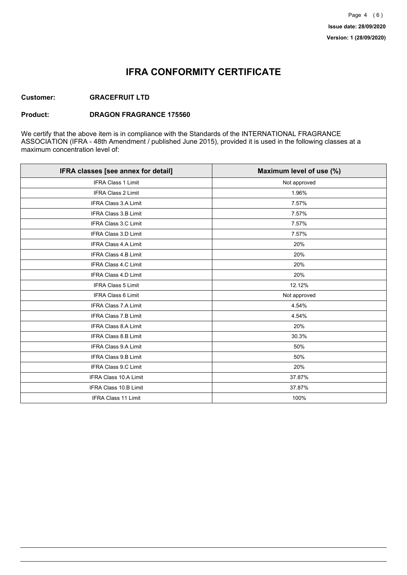## **IFRA CONFORMITY CERTIFICATE**

### **Customer: GRACEFRUIT LTD**

#### **Product: DRAGON FRAGRANCE 175560**

We certify that the above item is in compliance with the Standards of the INTERNATIONAL FRAGRANCE ASSOCIATION (IFRA - 48th Amendment / published June 2015), provided it is used in the following classes at a maximum concentration level of:

| IFRA classes [see annex for detail] | Maximum level of use (%) |
|-------------------------------------|--------------------------|
| <b>IFRA Class 1 Limit</b>           | Not approved             |
| <b>IFRA Class 2 Limit</b>           | 1.96%                    |
| <b>IFRA Class 3.A Limit</b>         | 7.57%                    |
| <b>IFRA Class 3.B Limit</b>         | 7.57%                    |
| <b>IFRA Class 3.C Limit</b>         | 7.57%                    |
| <b>IFRA Class 3.D Limit</b>         | 7.57%                    |
| <b>IFRA Class 4.A Limit</b>         | 20%                      |
| <b>IFRA Class 4.B Limit</b>         | 20%                      |
| <b>IFRA Class 4.C Limit</b>         | 20%                      |
| <b>IFRA Class 4.D Limit</b>         | 20%                      |
| <b>IFRA Class 5 Limit</b>           | 12.12%                   |
| <b>IFRA Class 6 Limit</b>           | Not approved             |
| <b>IFRA Class 7.A Limit</b>         | 4.54%                    |
| <b>IFRA Class 7.B Limit</b>         | 4.54%                    |
| <b>IFRA Class 8.A Limit</b>         | 20%                      |
| IFRA Class 8.B Limit                | 30.3%                    |
| <b>IFRA Class 9.A Limit</b>         | 50%                      |
| <b>IFRA Class 9.B Limit</b>         | 50%                      |
| <b>IFRA Class 9.C Limit</b>         | 20%                      |
| IFRA Class 10.A Limit               | 37.87%                   |
| IFRA Class 10.B Limit               | 37.87%                   |
| <b>IFRA Class 11 Limit</b>          | 100%                     |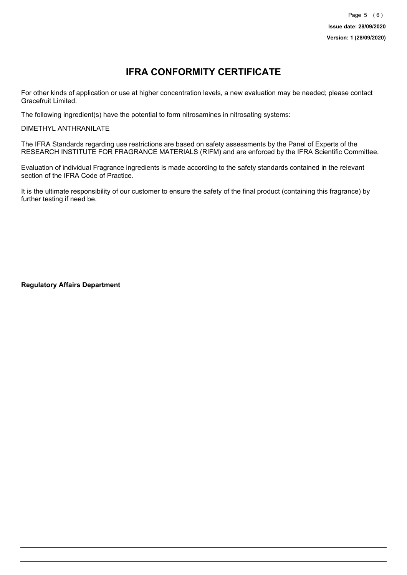# **IFRA CONFORMITY CERTIFICATE**

For other kinds of application or use at higher concentration levels, a new evaluation may be needed; please contact Gracefruit Limited.

The following ingredient(s) have the potential to form nitrosamines in nitrosating systems:

DIMETHYL ANTHRANILATE

The IFRA Standards regarding use restrictions are based on safety assessments by the Panel of Experts of the RESEARCH INSTITUTE FOR FRAGRANCE MATERIALS (RIFM) and are enforced by the IFRA Scientific Committee.

Evaluation of individual Fragrance ingredients is made according to the safety standards contained in the relevant section of the IFRA Code of Practice.

It is the ultimate responsibility of our customer to ensure the safety of the final product (containing this fragrance) by further testing if need be.

**Regulatory Affairs Department**